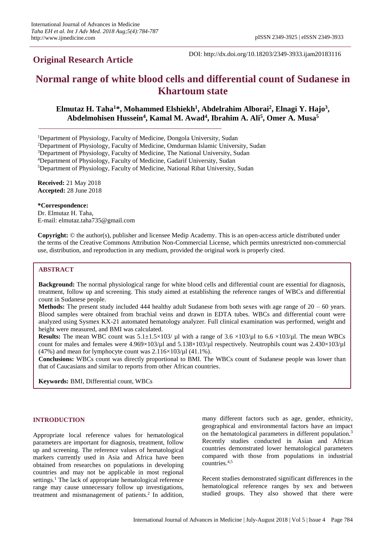DOI: http://dx.doi.org/10.18203/2349-3933.ijam20183116

# **Normal range of white blood cells and differential count of Sudanese in Khartoum state**

# **Elmutaz H. Taha<sup>1</sup>\*, Mohammed Elshiekh<sup>1</sup> , Abdelrahim Alborai<sup>2</sup> , Elnagi Y. Hajo<sup>3</sup> , Abdelmohisen Hussein<sup>4</sup> , Kamal M. Awad<sup>4</sup> , Ibrahim A. Ali<sup>5</sup> , Omer A. Musa<sup>5</sup>**

<sup>1</sup>Department of Physiology, Faculty of Medicine, Dongola University, Sudan

<sup>2</sup>Department of Physiology, Faculty of Medicine, Omdurman Islamic University, Sudan

<sup>3</sup>Department of Physiology, Faculty of Medicine, The National University, Sudan

<sup>4</sup>Department of Physiology, Faculty of Medicine, Gadarif University, Sudan

<sup>5</sup>Department of Physiology, Faculty of Medicine, National Ribat University, Sudan

**Received:** 21 May 2018 **Accepted:** 28 June 2018

**\*Correspondence:**

Dr. Elmutaz H. Taha, E-mail: elmutaz.taha735@gmail.com

**Copyright:** © the author(s), publisher and licensee Medip Academy. This is an open-access article distributed under the terms of the Creative Commons Attribution Non-Commercial License, which permits unrestricted non-commercial use, distribution, and reproduction in any medium, provided the original work is properly cited.

### **ABSTRACT**

**Background:** The normal physiological range for white blood cells and differential count are essential for diagnosis, treatment, follow up and screening. This study aimed at establishing the reference ranges of WBCs and differential count in Sudanese people.

**Methods:** The present study included 444 healthy adult Sudanese from both sexes with age range of 20 – 60 years. Blood samples were obtained from brachial veins and drawn in EDTA tubes. WBCs and differential count were analyzed using Sysmex KX-21 automated hematology analyzer. Full clinical examination was performed, weight and height were measured, and BMI was calculated.

**Results:** The mean WBC count was  $5.1 \pm 1.5 \times 103 / \mu l$  with a range of  $3.6 \times 103 / \mu l$  to  $6.6 \times 103 / \mu l$ . The mean WBCs count for males and females were 4.969×103/µl and 5.138×103/µl respectively. Neutrophils count was 2.430×103/µl (47%) and mean for lymphocyte count was  $2.116\times103/\mu$  (41.1%).

**Conclusions:** WBCs count was directly proportional to BMI. The WBCs count of Sudanese people was lower than that of Caucasians and similar to reports from other African countries.

**Keywords:** BMI, Differential count, WBCs

#### **INTRODUCTION**

Appropriate local reference values for hematological parameters are important for diagnosis, treatment, follow up and screening. The reference values of hematological markers currently used in Asia and Africa have been obtained from researches on populations in developing countries and may not be applicable in most regional settings.<sup>1</sup> The lack of appropriate hematological reference range may cause unnecessary follow up investigations, treatment and mismanagement of patients.<sup>2</sup> In addition,

many different factors such as age, gender, ethnicity, geographical and environmental factors have an impact on the hematological parameters in different population.<sup>3</sup> Recently studies conducted in Asian and African countries demonstrated lower hematological parameters compared with those from populations in industrial countries.4,5

Recent studies demonstrated significant differences in the hematological reference ranges by sex and between studied groups. They also showed that there were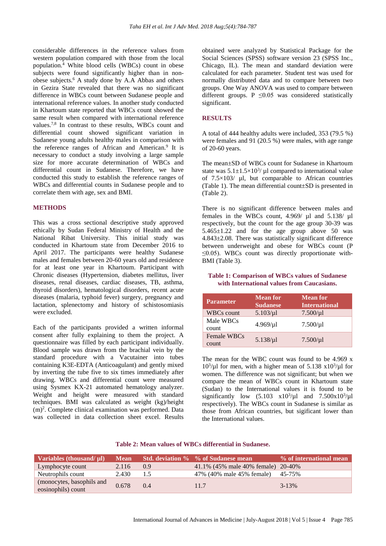considerable differences in the reference values from western population compared with those from the local population.<sup>4</sup> White blood cells (WBCs) count in obese subjects were found significantly higher than in nonobese subjects.<sup>6</sup> A study done by A.A Abbas and others in Gezira State revealed that there was no significant difference in WBCs count between Sudanese people and international reference values. In another study conducted in Khartoum state reported that WBCs count showed the same result when compared with international reference values.<sup>7,8</sup> In contrast to these results, WBCs count and differential count showed significant variation in Sudanese young adults healthy males in comparison with the reference ranges of African and American.<sup>9</sup> It is necessary to conduct a study involving a large sample size for more accurate determination of WBCs and differential count in Sudanese. Therefore, we have conducted this study to establish the reference ranges of WBCs and differential counts in Sudanese people and to correlate them with age, sex and BMI.

#### **METHODS**

This was a cross sectional descriptive study approved ethically by Sudan Federal Ministry of Health and the National Ribat University. This initial study was conducted in Khartoum state from December 2016 to April 2017. The participants were healthy Sudanese males and females between 20-60 years old and residence for at least one year in Khartoum. Participant with Chronic diseases (Hypertension, diabetes mellitus, liver diseases, renal diseases, cardiac diseases, TB, asthma, thyroid disorders), hematological disorders, recent acute diseases (malaria, typhoid fever) surgery, pregnancy and lactation, splenectomy and history of schistosomiasis were excluded.

Each of the participants provided a written informal consent after fully explaining to them the project. A questionnaire was filled by each participant individually. Blood sample was drawn from the brachial vein by the standard procedure with a Vacutainer into tubes containing K3E-EDTA (Anticoagulant) and gently mixed by inverting the tube five to six times immediately after drawing. WBCs and differential count were measured using Sysmex KX-21 automated hematology analyzer. Weight and height were measured with standard techniques. BMI was calculated as weight (kg)/height (m)<sup>2</sup> . Complete clinical examination was performed. Data was collected in data collection sheet excel. Results obtained were analyzed by Statistical Package for the Social Sciences (SPSS) software version 23 (SPSS Inc., Chicago, IL). The mean and standard deviation were calculated for each parameter. Student test was used for normally distributed data and to compare between two groups. One Way ANOVA was used to compare between different groups. P  $\leq$ 0.05 was considered statistically significant.

#### **RESULTS**

A total of 444 healthy adults were included, 353 (79.5 %) were females and 91 (20.5 %) were males, with age range of 20-60 years.

The mean±SD of WBCs count for Sudanese in Khartoum state was  $5.1 \pm 1.5 \times 10^{3}$ / µl compared to international value of  $7.5 \times 103$ / µl, but comparable to African countries (Table 1). The mean differential count±SD is presented in (Table 2).

There is no significant difference between males and females in the WBCs count, 4.969/ µl and 5.138/ µl respectively, but the count for the age group 30-39 was  $5.465 \pm 1.22$  and for the age group above 50 was 4.843±2.08. There was statistically significant difference between underweight and obese for WBCs count (P  $\leq$ 0.05). WBCs count was directly proportionate with-BMI (Table 3).

#### **Table 1: Comparison of WBCs values of Sudanese with International values from Caucasians.**

| <b>Parameter</b>     | <b>Mean for</b><br><b>Sudanese</b> | <b>Mean for</b><br><b>International</b> |
|----------------------|------------------------------------|-----------------------------------------|
| <b>WBCs count</b>    | $5.103/\mu$                        | $7.500/\mu$                             |
| Male WBCs<br>count   | $4.969/\mu$ l                      | $7.500/\mu$ l                           |
| Female WBCs<br>count | $5.138/\mu$                        | $7.500/\mu$                             |

The mean for the WBC count was found to be 4.969 x  $10^3/\mu$ l for men, with a higher mean of 5.138 x $10^3/\mu$ l for women. The difference was not significant; but when we compare the mean of WBCs count in Khartoum state (Sudan) to the International values it is found to be significantly low  $(5.103 \times 10^3/\mu)$  and  $7.500 \times 10^3/\mu$ respectively). The WBCs count in Sudanese is similar as those from African countries, but sigificant lower than the International values.

#### **Table 2: Mean values of WBCs differential in Sudanese.**

| Variables (thousand/ $\mu$ l)                   | <b>Mean</b> |     | Std. deviation % % of Sudanese mean | % of international mean |
|-------------------------------------------------|-------------|-----|-------------------------------------|-------------------------|
| Lymphocyte count                                | 2.116       | 0.9 | 41.1% (45% male 40% female) 20-40%  |                         |
| Neutrophils count                               | 2.430       | 1.5 | 47% (40% male 45% female)           | 45-75%                  |
| (monocytes, basophils and<br>eosinophils) count | 0.678       | 0.4 | 11.7                                | $3 - 13%$               |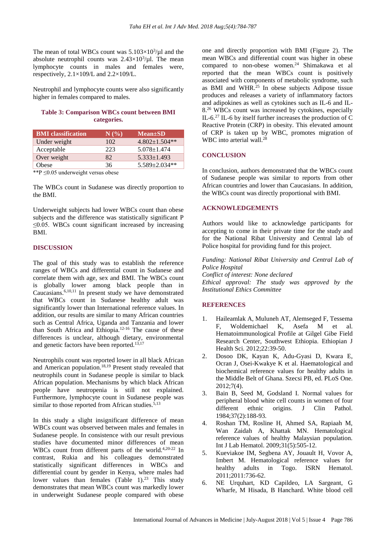The mean of total WBCs count was  $5.103\times10^{3}/\mu$ l and the absolute neutrophil counts was  $2.43 \times 10^3/\mu$ l. The mean lymphocyte counts in males and females were, respectively, 2.1×109/L and 2.2×109/L.

Neutrophil and lymphocyte counts were also significantly higher in females compared to males.

# **Table 3: Comparison WBCs count between BMI categories.**

| <b>BMI</b> classification | N(% | $Mean \pm SD$     |
|---------------------------|-----|-------------------|
| Under weight              | 102 | $4.802+1.504**$   |
| Acceptable                | 223 | $5.078 \pm 1.474$ |
| Over weight               | 82  | $5.333 \pm 1.493$ |
| Obese                     | 36  | 5.589±2.034**     |

\*\*P ≤0.05 underweight versus obese

The WBCs count in Sudanese was directly proportion to the BMI.

Underweight subjects had lower WBCs count than obese subjects and the difference was statistically significant P  $\leq$ 0.05. WBCs count significant increased by increasing BMI.

#### **DISCUSSION**

The goal of this study was to establish the reference ranges of WBCs and differential count in Sudanese and correlate them with age, sex and BMI. The WBCs count is globally lower among black people than in Caucasians.6,10,11 In present study we have demonstrated that WBCs count in Sudanese healthy adult was significantly lower than International reference values. In addition, our results are similar to many African countries such as Central Africa, Uganda and Tanzania and lower than South Africa and Ethiopia.12-16 The cause of these differences is unclear, although dietary, environmental and genetic factors have been reported.13,17

Neutrophils count was reported lower in all black African and American population.<sup>18,19</sup> Present study revealed that neutrophils count in Sudanese people is similar to black African population. Mechanisms by which black African people have neutropenia is still not explained. Furthermore, lymphocyte count in Sudanese people was similar to those reported from African studies. $\frac{5,13}{ }$ 

In this study a slight insignificant difference of mean WBCs count was observed between males and females in Sudanese people. In consistence with our result previous studies have documented minor differences of mean WBCs count from different parts of the world.<sup>4,20-22</sup> In contrast, Rukia and his colleagues demonstrated statistically significant differences in WBCs and differential count by gender in Kenya, where males had lower values than females  $(Table 1)$ .<sup>23</sup> This study demonstrates that mean WBCs count was markedly lower in underweight Sudanese people compared with obese

one and directly proportion with BMI (Figure 2). The mean WBCs and differential count was higher in obese compared to non-obese women.<sup>24</sup> Shimakawa et al reported that the mean WBCs count is positively associated with components of metabolic syndrome, such as BMI and WHR.<sup>25</sup> In obese subjects Adipose tissue produces and releases a variety of inflammatory factors and adipokines as well as cytokines such as IL-6 and IL-8.<sup>26</sup> WBCs count was increased by cytokines, especially IL-6. 27 IL-6 by itself further increases the production of C Reactive Protein (CRP) in obesity. This elevated amount of CRP is taken up by WBC, promotes migration of WBC into arterial wall.<sup>28</sup>

## **CONCLUSION**

In conclusion, authors demonstrated that the WBCs count of Sudanese people was similar to reports from other African countries and lower than Caucasians. In addition, the WBCs count was directly proportional with BMI.

#### **ACKNOWLEDGEMENTS**

Authors would like to acknowledge participants for accepting to come in their private time for the study and for the National Ribat University and Central lab of Police hospital for providing fund for this project.

*Funding: National Ribat University and Central Lab of Police Hospital Conflict of interest: None declared Ethical approval: The study was approved by the Institutional Ethics Committee*

## **REFERENCES**

- 1. Haileamlak A, Muluneh AT, Alemseged F, Tessema F, Woldemichael K, Asefa M et al. Hematoimmunological Profile at Gilgel Gibe Field Research Center, Southwest Ethiopia. Ethiopian J Health Sci. 2012;22:39-50.
- 2. Dosoo DK, Kayan K, Adu-Gyasi D, Kwara E, Ocran J, Osei-Kwakye K et al. Haematological and biochemical reference values for healthy adults in the Middle Belt of Ghana. Szecsi PB, ed. PLoS One. 2012;7(4).
- 3. Bain B, Seed M, Godsland I. Normal values for peripheral blood white cell counts in women of four different ethnic origins. J Clin Pathol. 1984;37(2):188-93.
- 4. Roshan TM, Rosline H, Ahmed SA, Rapiaah M, Wan Zaidah A, Khattak MN. Hematological reference values of healthy Malaysian population. Int J Lab Hematol. 2009;31(5):505-12.
- 5. Kueviakoe IM, Segbena AY, Jouault H, Vovor A, Imbert M. Hematological reference values for healthy adults in Togo. ISRN Hematol. 2011;2011:736-62.
- 6. NE Urquhart, KD Capildeo, LA Sargeant, G Wharfe, M Hisada, B Hanchard. White blood cell